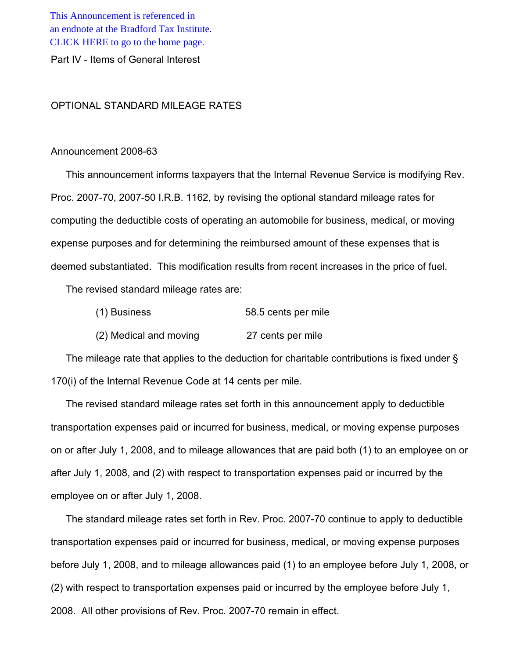This Announcement is referenced in [an endnote at the Bradford Tax Institute.](http://www.bradfordtaxinstitute.com/)  CLICK HERE to go to the home page.

Part IV - Items of General Interest

## OPTIONAL STANDARD MILEAGE RATES

## Announcement 2008-63

This announcement informs taxpayers that the Internal Revenue Service is modifying Rev. Proc. 2007-70, 2007-50 I.R.B. 1162, by revising the optional standard mileage rates for computing the deductible costs of operating an automobile for business, medical, or moving expense purposes and for determining the reimbursed amount of these expenses that is deemed substantiated. This modification results from recent increases in the price of fuel.

The revised standard mileage rates are:

- (1) Business 58.5 cents per mile
- (2) Medical and moving 27 cents per mile

The mileage rate that applies to the deduction for charitable contributions is fixed under § 170(i) of the Internal Revenue Code at 14 cents per mile.

 The revised standard mileage rates set forth in this announcement apply to deductible transportation expenses paid or incurred for business, medical, or moving expense purposes on or after July 1, 2008, and to mileage allowances that are paid both (1) to an employee on or after July 1, 2008, and (2) with respect to transportation expenses paid or incurred by the employee on or after July 1, 2008.

 The standard mileage rates set forth in Rev. Proc. 2007-70 continue to apply to deductible transportation expenses paid or incurred for business, medical, or moving expense purposes before July 1, 2008, and to mileage allowances paid (1) to an employee before July 1, 2008, or (2) with respect to transportation expenses paid or incurred by the employee before July 1, 2008. All other provisions of Rev. Proc. 2007-70 remain in effect.